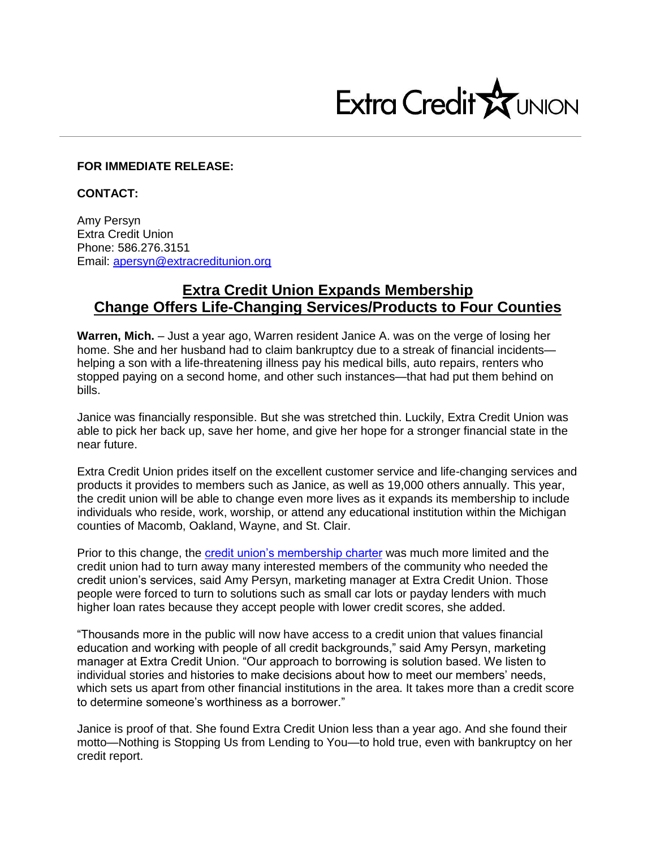

## **FOR IMMEDIATE RELEASE:**

**CONTACT:**

Amy Persyn Extra Credit Union Phone: 586.276.3151 Email: [apersyn@extracreditunion.org](mailto:apersyn@extracreditunion.org)

## **Extra Credit Union Expands Membership Change Offers Life-Changing Services/Products to Four Counties**

**Warren, Mich.** – Just a year ago, Warren resident Janice A. was on the verge of losing her home. She and her husband had to claim bankruptcy due to a streak of financial incidents helping a son with a life-threatening illness pay his medical bills, auto repairs, renters who stopped paying on a second home, and other such instances—that had put them behind on bills.

Janice was financially responsible. But she was stretched thin. Luckily, Extra Credit Union was able to pick her back up, save her home, and give her hope for a stronger financial state in the near future.

Extra Credit Union prides itself on the excellent customer service and life-changing services and products it provides to members such as Janice, as well as 19,000 others annually. This year, the credit union will be able to change even more lives as it expands its membership to include individuals who reside, work, worship, or attend any educational institution within the Michigan counties of Macomb, Oakland, Wayne, and St. Clair.

Prior to this change, the [credit union's membership charter](https://www.extracreditunion.org/credit-union-toolbox/join-become-a-member/) was much more limited and the credit union had to turn away many interested members of the community who needed the credit union's services, said Amy Persyn, marketing manager at Extra Credit Union. Those people were forced to turn to solutions such as small car lots or payday lenders with much higher loan rates because they accept people with lower credit scores, she added.

"Thousands more in the public will now have access to a credit union that values financial education and working with people of all credit backgrounds," said Amy Persyn, marketing manager at Extra Credit Union. "Our approach to borrowing is solution based. We listen to individual stories and histories to make decisions about how to meet our members' needs, which sets us apart from other financial institutions in the area. It takes more than a credit score to determine someone's worthiness as a borrower."

Janice is proof of that. She found Extra Credit Union less than a year ago. And she found their motto—Nothing is Stopping Us from Lending to You—to hold true, even with bankruptcy on her credit report.